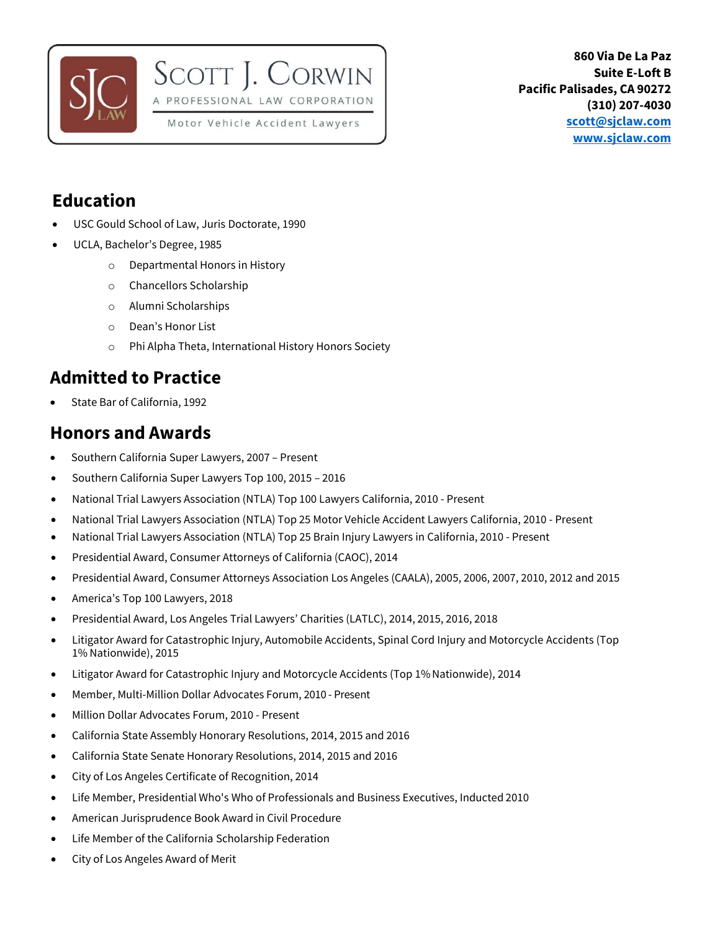



### **Education**

- USC Gould School of Law, Juris Doctorate, 1990
- UCLA, Bachelor's Degree, 1985
	- o Departmental Honors in History
	- o Chancellors Scholarship
	- o Alumni Scholarships
	- o Dean's Honor List
	- o Phi Alpha Theta, International History Honors Society

SCOTT J. CORWIN

A PROFESSIONAL LAW CORPORATION Motor Vehicle Accident Lawyers

### **Admitted to Practice**

• State Bar of California, 1992

#### **Honors and Awards**

- Southern California Super Lawyers, 2007 Present
- Southern California Super Lawyers Top 100, 2015 2016
- National Trial Lawyers Association (NTLA) Top 100 Lawyers California, 2010 Present
- National Trial Lawyers Association (NTLA) Top 25 Motor Vehicle Accident Lawyers California, 2010 Present
- National Trial Lawyers Association (NTLA) Top 25 Brain Injury Lawyers in California, 2010 Present
- Presidential Award, Consumer Attorneys of California (CAOC), 2014
- Presidential Award, Consumer Attorneys Association Los Angeles (CAALA), 2005, 2006, 2007, 2010, 2012 and 2015
- America's Top 100 Lawyers, 2018
- Presidential Award, Los Angeles Trial Lawyers' Charities (LATLC), 2014, 2015, 2016, 2018
- Litigator Award for Catastrophic Injury, Automobile Accidents, Spinal Cord Injury and Motorcycle Accidents (Top 1% Nationwide), 2015
- Litigator Award for Catastrophic Injury and Motorcycle Accidents (Top 1% Nationwide), 2014
- Member, Multi-Million Dollar Advocates Forum, 2010 Present
- Million Dollar Advocates Forum, 2010 Present
- California State Assembly Honorary Resolutions, 2014, 2015 and 2016
- California State Senate Honorary Resolutions, 2014, 2015 and 2016
- City of Los Angeles Certificate of Recognition, 2014
- Life Member, Presidential Who's Who of Professionals and Business Executives, Inducted 2010
- American Jurisprudence Book Award in Civil Procedure
- Life Member of the California Scholarship Federation
- City of Los Angeles Award of Merit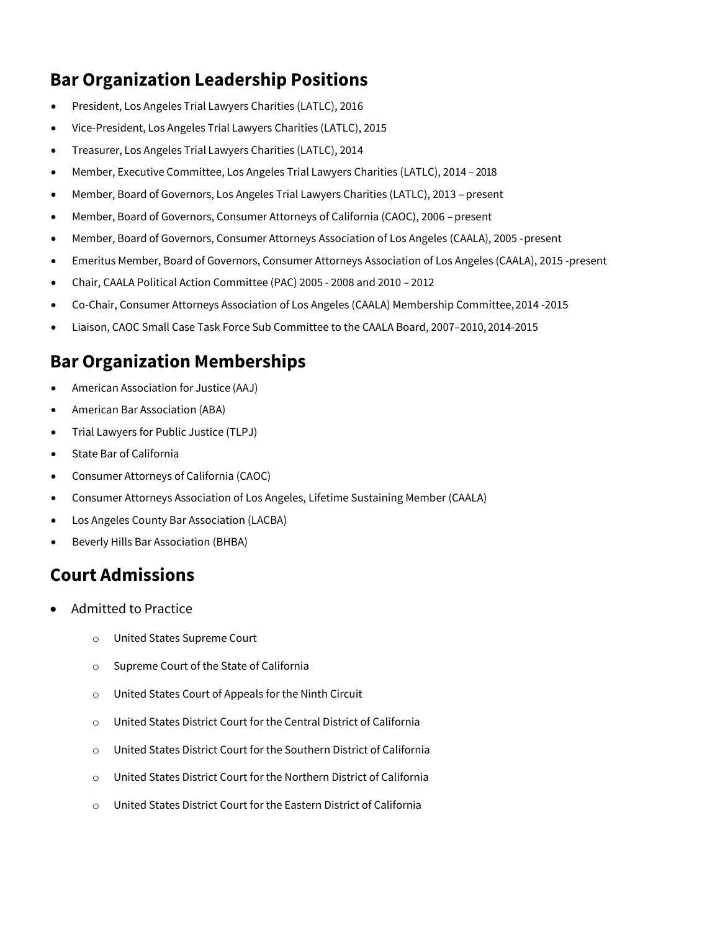## **Bar Organization Leadership Positions**

- President, Los Angeles Trial Lawyers Charities (LATLC), 2016
- Vice-President, Los Angeles Trial Lawyers Charities (LATLC), 2015
- Treasurer, Los Angeles Trial Lawyers Charities (LATLC), 2014
- Member, Executive Committee, Los Angeles Trial Lawyers Charities (LATLC), 2014 2018
- Member, Board of Governors, Los Angeles Trial Lawyers Charities (LATLC), 2013 present
- Member, Board of Governors, Consumer Attorneys of California (CAOC), 2006 present
- Member, Board of Governors, Consumer Attorneys Association of Los Angeles (CAALA), 2005 -present
- Emeritus Member, Board of Governors, Consumer Attorneys Association of Los Angeles (CAALA), 2015 -present
- Chair, CAALA Political Action Committee (PAC) 2005 2008 and 2010 2012
- Co-Chair, Consumer Attorneys Association of Los Angeles (CAALA) Membership Committee,2014 -2015
- Liaison, CAOC Small Case Task Force Sub Committee to the CAALA Board, 2007–2010,2014-2015

### **Bar Organization Memberships**

- American Association for Justice (AAJ)
- American Bar Association (ABA)
- Trial Lawyers for Public Justice (TLPJ)
- State Bar of California
- Consumer Attorneys of California (CAOC)
- Consumer Attorneys Association of Los Angeles, Lifetime Sustaining Member (CAALA)
- Los Angeles County Bar Association (LACBA)
- Beverly Hills Bar Association (BHBA)

### **Court Admissions**

- Admitted to Practice
	- o United States Supreme Court
	- o Supreme Court of the State of California
	- o United States Court of Appeals for the Ninth Circuit
	- o United States District Court for the Central District of California
	- o United States District Court for the Southern District of California
	- o United States District Court for the Northern District of California
	- o United States District Court for the Eastern District of California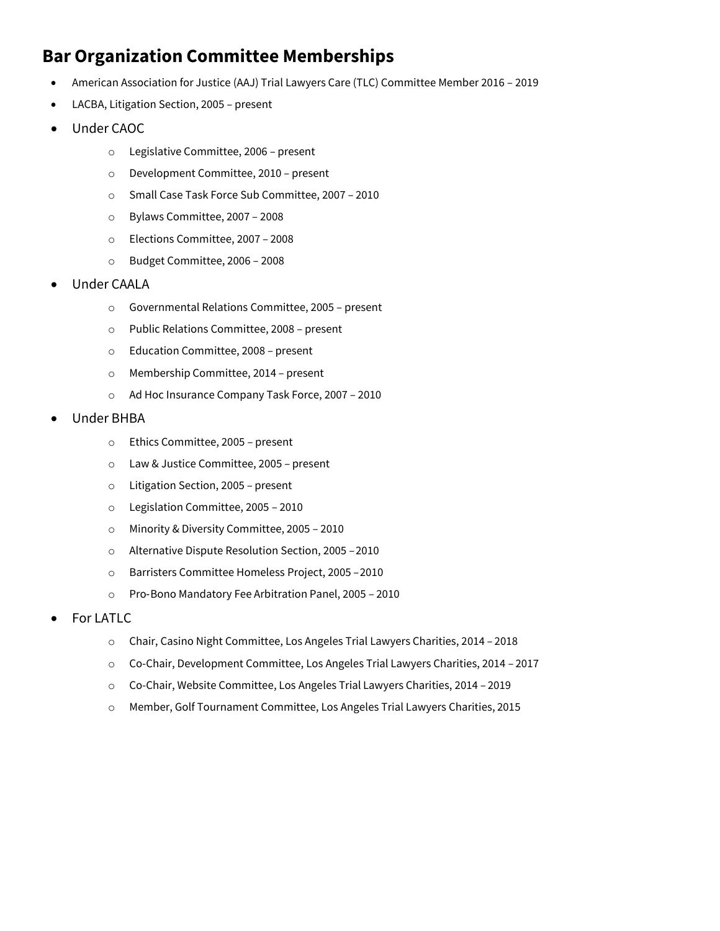## **Bar Organization Committee Memberships**

- American Association for Justice (AAJ) Trial Lawyers Care (TLC) Committee Member 2016 2019
- LACBA, Litigation Section, 2005 present
- Under CAOC
	- o Legislative Committee, 2006 present
	- o Development Committee, 2010 present
	- o Small Case Task Force Sub Committee, 2007 2010
	- o Bylaws Committee, 2007 2008
	- o Elections Committee, 2007 2008
	- o Budget Committee, 2006 2008
- Under CAALA
	- o Governmental Relations Committee, 2005 present
	- o Public Relations Committee, 2008 present
	- o Education Committee, 2008 present
	- o Membership Committee, 2014 present
	- o Ad Hoc Insurance Company Task Force, 2007 2010
- Under BHBA
	- o Ethics Committee, 2005 present
	- o Law & Justice Committee, 2005 present
	- o Litigation Section, 2005 present
	- o Legislation Committee, 2005 2010
	- o Minority & Diversity Committee, 2005 2010
	- o Alternative Dispute Resolution Section, 2005 –2010
	- o Barristers Committee Homeless Project, 2005 –2010
	- o Pro‐Bono Mandatory Fee Arbitration Panel, 2005 2010
- For LATLC
	- o Chair, Casino Night Committee, Los Angeles Trial Lawyers Charities, 2014 2018
	- o Co-Chair, Development Committee, Los Angeles Trial Lawyers Charities, 2014 2017
	- o Co-Chair, Website Committee, Los Angeles Trial Lawyers Charities, 2014 2019
	- o Member, Golf Tournament Committee, Los Angeles Trial Lawyers Charities, 2015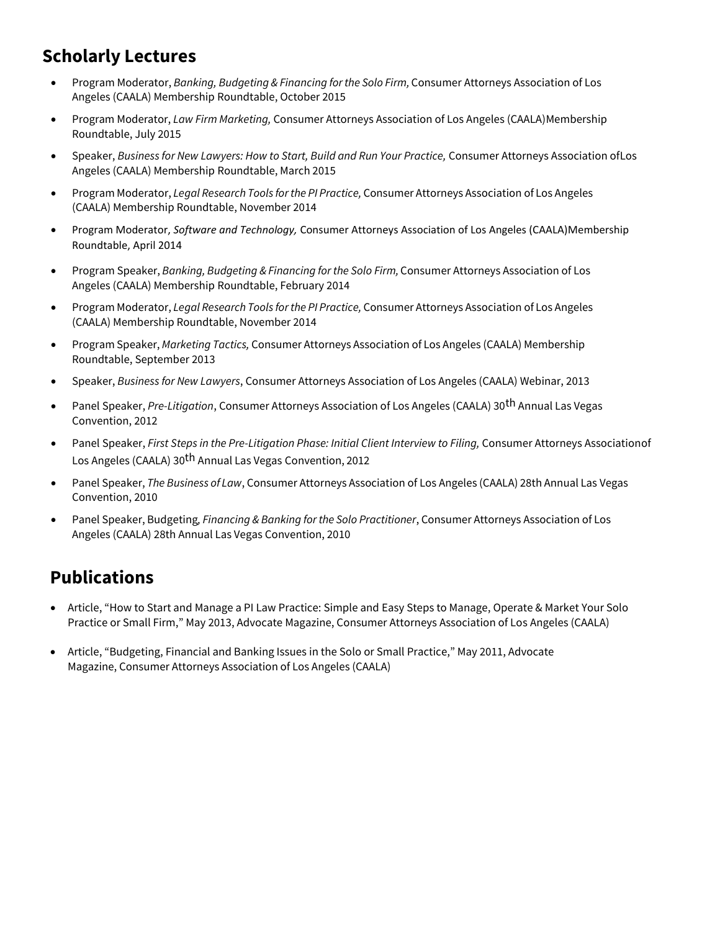## **Scholarly Lectures**

- Program Moderator, *Banking, Budgeting & Financing forthe Solo Firm,* Consumer Attorneys Association of Los Angeles (CAALA) Membership Roundtable, October 2015
- Program Moderator, *Law Firm Marketing*, Consumer Attorneys Association of Los Angeles (CAALA) Membership Roundtable, July 2015
- Speaker, *Business for New Lawyers: How to Start, Build and Run Your Practice,* Consumer Attorneys Association ofLos Angeles (CAALA) Membership Roundtable, March 2015
- Program Moderator, *Legal Research Tools forthe PI Practice,* Consumer Attorneys Association of Los Angeles (CAALA) Membership Roundtable, November 2014
- Program Moderator, *Software and Technology,* Consumer Attorneys Association of Los Angeles (CAALA)Membership Roundtable, April 2014
- Program Speaker, *Banking, Budgeting & Financing for the Solo Firm,* Consumer Attorneys Association of Los Angeles (CAALA) Membership Roundtable, February 2014
- Program Moderator, *Legal Research Tools forthe PI Practice,* Consumer Attorneys Association of Los Angeles (CAALA) Membership Roundtable, November 2014
- Program Speaker, *Marketing Tactics,* Consumer Attorneys Association of Los Angeles (CAALA) Membership Roundtable, September 2013
- Speaker, *Business for New Lawyers*, Consumer Attorneys Association of Los Angeles (CAALA) Webinar, 2013
- Panel Speaker, *Pre-Litigation*, Consumer Attorneys Association of Los Angeles (CAALA) 30th Annual Las Vegas Convention, 2012
- Panel Speaker, *First Steps in the Pre-Litigation Phase: Initial Client Interview to Filing, Consumer Attorneys Associationof* Los Angeles (CAALA) 30<sup>th</sup> Annual Las Vegas Convention, 2012
- Panel Speaker, *The Business of Law*, Consumer Attorneys Association of Los Angeles (CAALA) 28th Annual Las Vegas Convention, 2010
- Panel Speaker, Budgeting*, Financing & Banking forthe Solo Practitioner*, Consumer Attorneys Association of Los Angeles (CAALA) 28th Annual Las Vegas Convention, 2010

# **Publications**

- Article, "How to Start and Manage a PI Law Practice: Simple and Easy Steps to Manage, Operate & Market Your Solo Practice or Small Firm," May 2013, Advocate Magazine, Consumer Attorneys Association of Los Angeles (CAALA)
- Article, "Budgeting, Financial and Banking Issues in the Solo or Small Practice," May 2011, Advocate Magazine, Consumer Attorneys Association of Los Angeles (CAALA)